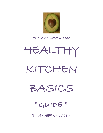

#### THE AVOCADO MAMA

# HEALTHY KITCHEN

BASICS

\*GUIDE \*

BY JENNIFER GLOODT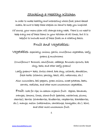# Stocking a Healthy Kitchen

In order to make healthy and interesting whole-food, plant-based meals, be sure to keep these staples on hand to keep you inspired.

Of course, your menu plan will change every week. There is no need to keep every one of these items in your kitchen at all times, but it is helpful to include most of these foods on a rotating basis.

#### Fruit and Vegetables:

Vegetables- especially: onions, garlic, cruciferous vegetables, leafy greens & mushrooms

(Cruciferous= Broccoli, cauliflower, cabbage, Brussels sprouts, bok choy, kale, and other leafy greens)

Leafy greens= kale, Swiss chard, bok choy, collards, dandelion, fresh herbs (cilantro, parsley, basil, dill, watercress, etc.)

Also: cucumbers, bell peppers, green onions, sweet potatoes, beets, carrots, radishes, and other more uncommon vegetables.

Fruit- look for ripe, in-season organic fruit: Apples, bananas, oranges, lemons, limes, stone-fruit (peaches, nectarines, plums, cherries), berries (strawberries, blueberries, raspberries, blackberries, etc.), mango, melon (watermelon, cantaloupe, honeydew, etc.), kiwi, and other more uncommon fruit.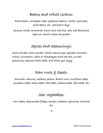#### Beans and Whole Grains:

Black beans, chickpeas (aka: garbanzo beans), lentils, split peas, pinto beans, etc. (canned or dry)

Quinoa, millet, amaranth, brown and wild rice, oats (old fashioned, steel cut, and/or whole oat groats)

## Spices and Seasonings:

Garlic powder, onion powder, Italian seasonings, paprika, turmeric, cumin, cinnamon, Celtic or Himalayan pink sea salt, no-salt seasoning, seasonal fresh herbs, and others you enjoy.

#### Raw Nuts & Seeds:

Almonds, walnuts, cashews, pecans, Brazil nuts, sunflower seeds, pumpkin seeds, hemp seeds, chia seeds, sesame seeds, flax seeds, etc.

#### Sea Vegetables:

Nori sheets, kelp powder/flakes, kombu, wakami, spirulina, chlorella, etc.

2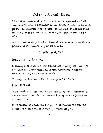# Other (optional) Items

Miso, tahini, organic wheat-free tamari, olives, organic dried fruit (without additives), dates, maple syrup, raw agave nectar, nutritional yeast, vanilla extract (without alcohol if available), applesauce, apple cider vinegar, organic virgin coconut oil, cold-pressed extra-virgin olive oil.

Also optional: whole-grain flour, almond flour, coconut flour, baking powder and baking soda, if you wish to bake.

## Foods to Avoid

#### Just say NO to GMO

Currently in the U.S., the most common genetically modified foods are: Zucchini, Cotton (seed oil), Canola, Aspartame, Dairy, Corn, Papayas, Sugar, Soy, Yellow Squash.

The only way to avoid GMO is to buy/grow ORGANIC.

#### Keep It Real

Avoid artificial ingredients- flavors, colors, chemicals, preservatives, and additives. Trans-fats and monosodium glutamate (MSG) are not your friends.

If it's difficult to pronounce, and you wouldn't eat it as a separate ingredient on its own… it's probably not good for you.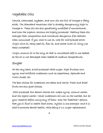#### Vegetable Oils

Canola, cottonseed, soybean, and corn oils are full of Omega-6 fatty acids. The Standard American Diet is already dangerously high in Omega-6. These oils are also genetically modified if conventional, and even the organic versions are highly processed. Heating these oils changes their composition and introduces dangerous free radicals when consumed. If you wish to use oil, look for cold-pressed extravirgin olive oil, hemp seed oil, flax oil, and sacha inchi oil (only use these unheated).

Virgin coconut oil is the only oil that is considered safe to use heated, as the oil is not damaged when heated at medium temperatures.

#### Sugar

At the very least, avoid processed white sugar, high fructose corn syrup, and artificial sweeteners such as aspartame, Splenda and Nutri-Sweet, etc.

The best choices for sweeteners are dates and stevia. Fresh and dried fruits are also good choices.

 Still processed, but decent choices are: maple syrup, coconut nectar, and raw agave nectar. Newer sweeteners are now on the market, but do your research before using any of them- even the "healthier" options that you'll find in health food stores. Xylitol is one example- and it is said to promote dental health, while being a 1:1 sugar replacement.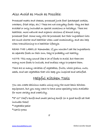#### Also Avoid as Much as Possible:

Processed meats and cheeses, processed junk food (packaged cookies, crackers, fried chips, etc.) These are not everyday foods- they are best avoided or only included on special occasions or holidays. There are healthier, more natural and organic versions of almost every processed food. Some may still be processed, but their ingredient lists are much shorter and healthier when used occasionally, and can help when transitioning to a healthier lifestyle.

READ THE LABELS! Remember, if you wouldn't eat the ingredients as separate foods on their own, they're probably not healthy.

NOTE: This may sound like a lot of foods to avoid, but there are many more foods to include, and endless ways to prepare them.

There are so many varieties of vegetables, fruits, whole grains, nuts, seeds, and sea vegetables that will keep you inspired and satisfied.

## Helpful Kitchen Tools

You can create delicious meals using only the most basic kitchen equipment, but you may want to have some specialty tools available for more variety and creativity.

\*8"-10" Chef's knife and small paring knife (or a good knife set that includes these) \*Vegetable peeler \*Garlic press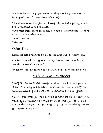\*Cutting boards (use separate boards for plant-based and animalbased foods to avoid cross-contamination)

\*Glass containers and jars for storing cold food, dry pantry items, and for soaking nuts and seeds.

\*Stainless steel , cast iron, glass, and certain ceramic pots and pans are the healthiest for cooking.

\*Food processor \*Blender

# Other Tips

Stainless steel and glass are the safest materials for water bottles.

It is best to avoid storing and cooking food and beverages in plastic containers and aluminum foil.

(Plastic= leaching chemicals & BPA. Aluminum=leaching metal)

# Safe Kitchen Cleaners

Vinegar: Mix equal parts vinegar and water for a safe all-purpose cleaner. You may wish to add drops of essential oils for a different scent. Some examples are tea tree oil, lavender, and eucalyptus.

Lemon: Use lemon juice to dissolve hard water stains and soap scum. You may also mix 1 part olive oil to ½ part lemon juice to use as a natural furniture polish. Lemon peels are also great at freshening up your garbage disposal!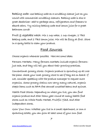Baking soda: Use baking soda as a scrubbing cleaner just as you would with commercial scrubbing cleaners. Baking soda is also a great deodorizer- add to garbage cans, refrigerators and freezers to absorb odors. Try mixing baking soda and lemon juice for a great bathroom scrub!

Fruit & vegetable wash: Mix 1 cup water, 1 cup vinegar, 2 TBS baking soda, and 2 TBS lemon juice. Mix will be fizzy at first. Store in a spray bottle to clean your produce.

## Food Sources

Choose organic whenever possible. Here are some ideas:

Farmers Markets: Many farmers markets include organic farmersjust ask, and they will tell you about their growing practices.

Conventional grocery stores: Organic produce is sprouting up all over the place- check your local grocery store to see if they are on board. If not, consider speaking with the produce manager to request more organics. Some grocery chains now carry many natural, organic staple items such as BPA-free canned unsalted beans and quinoa.

Health Food Stores: Depending on where you live, you can find organic produce and other items year-round at many health food stores such as Whole Foods Market, Fruitful Yield, and other independent stores.

Grow Your Own: Whether you live in a small apartment, or own a sprawling estate, you can grow at least some of your own food.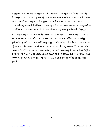Sprouts can be grown from seeds indoors. An herbal window garden is perfect in a small space. If you have some outdoor space to call your own, consider a square foot garden. With even more space, and depending on which climate zone you live in, you can create a garden of plenty to ensure you have fresh, local, organic produce to enjoy.

Online: Organic produce delivered to your home! Companies such as Door To Door Organics and Green Polka Dot Box offer reasonably priced organic produce delivery to your doorstep. This is a great option if you live in an area without much access to organics. There are also online stores that cater specifically to those looking to purchase vegan and/or raw food products. Check out Vegan Essentials, The Raw Food World, and Amazon online for an excellent array of healthier food products.

8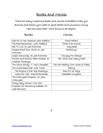#### Books and Movies

There are many inspiring books and movies available to help you discover and follow your path to good health and conscious living. Here are some that I have found to be helpful:

#### Books Movies

| Diet For A New America-John Robbins   | Food Matters                          |
|---------------------------------------|---------------------------------------|
| The Food Revolution - John Robbins    | Forks Over Knives                     |
| Eat To Live-Dr. Joel Fuhrman          | Vegucated                             |
| Disease-Proof Your Child-Dr. Joel     | Earthlings                            |
| Fuhrman                               |                                       |
| Super Immunity-Dr. Joel Fuhrman       | Hungry For Change                     |
| Prevent and Reverse Heart Disease-Dr. | Fat, Síck, and Nearly Dead            |
| Caldwell Esselstyn                    |                                       |
| The China Study- T. Colin Campbell    | The Get Healthy Now! series of videos |
| The World Peace Diet- Will Tuttle     | Eatíng                                |
| The Engine 2 Diet-Rip Esselstyn       | Raw For 30 Days                       |
| Green For Life- Victoria Boutenko     | Peaceable Kingdom                     |
| The McDougall Program-Dr. John        |                                       |
| McDougall                             |                                       |
| Crazy Sexy Cancer- Kris Carr          |                                       |
| Program For Reversing Diabetes-Dr.    |                                       |
| Neal Barnard                          |                                       |